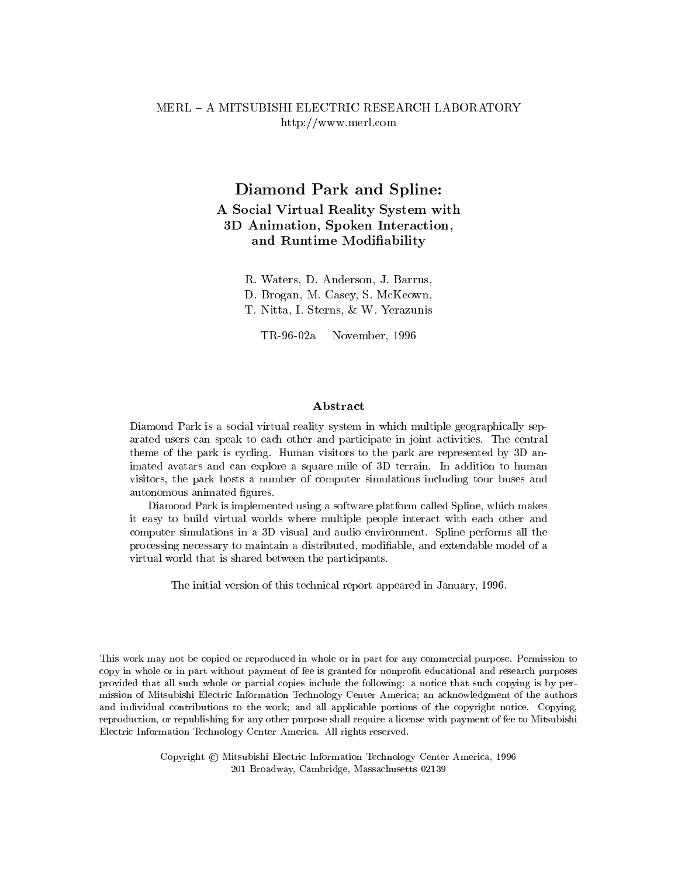## MERL - A MITSUBISHI ELECTRIC RESEARCH LABORATORY http://www.merl.com

# Diamond Park and Spline: A Social Virtual Reality System with 3D Animation, Spoken Interaction, and Runtime Modiability

R. Waters, D. Anderson, J. Barrus,

D. Brogan, M. Casey, S. McKeown,

T. Nitta, I. Sterns, & W. Yerazunis

TR-96-02a November, 1996

Diamond Park is a social virtual reality system in which multiple geographically separated users can speak to each other and participate in joint and participate in the central participation. theme of the park is cycling. Human visitors to the park are represented by 3D animated avatars and can explore <sup>a</sup> square mile of 3D terrain. In addition to human visitors, the park hosts <sup>a</sup> number of computer simulations including tour buses and autonomous animated figures.

Diamond Park is implemented using a software platform called Spline, which makesit easy to build virtual worlds where multiple people interact with each other and computer simulations in <sup>a</sup> 3D visual and audio environment. Spline performs all the processing necessary to maintain a distributed, modiable, and extendable model of avirtual world that is shared between the participants.

The initial version of this technical report appeared in January, 1996.

This work may not be copied or reproduced in whole or in part for any commercial purpose. Permission to copy in whole or in part without payment of fee is granted for nonprot educational and research purposes provided that all such whole or partial copies include the following: a notice that such copying is by permission of Mitsubishi Electric Information Technology Center America; an acknowledgment of the authors and individual contributions to the work; and all applicable portions of the copyright notice. Copying, reproduction, or republishing for any other purpose shall require a license with payment of fee to Mitsubishi Electric Information Technology Center America. All rights reserved.

> Copyright (C) Mitsubishi Electric Information Technology Center America, 1996 201 Broadway, Cambridge, Massachusetts 02139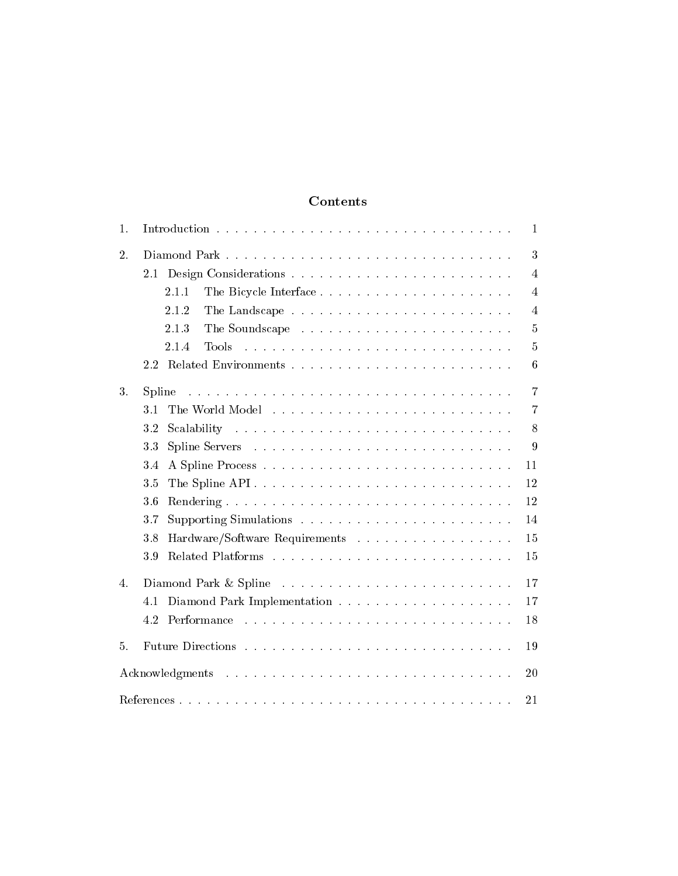# Contents

| 1. | 1                                                                                                                                                                                                                                                           |  |
|----|-------------------------------------------------------------------------------------------------------------------------------------------------------------------------------------------------------------------------------------------------------------|--|
| 2. | 3                                                                                                                                                                                                                                                           |  |
|    | 4                                                                                                                                                                                                                                                           |  |
|    | 2.1.1<br>4                                                                                                                                                                                                                                                  |  |
|    | 2.1.2<br>4                                                                                                                                                                                                                                                  |  |
|    | 2.1.3<br>5                                                                                                                                                                                                                                                  |  |
|    | 2.1.4<br><b>Tools</b><br>and a construction of the construction of the construction of the construction of the construction of the construction of the construction of the construction of the construction of the construction of the construction of<br>5 |  |
|    | 2.2<br>6                                                                                                                                                                                                                                                    |  |
| 3. | 7<br>Spline<br>المتعاونة والمتعاونة والمتعاونة والمتعاونة والمتعاونة والمتعاونة والمتعاونة والمتعاونة والمتعاونة والمتعاونة                                                                                                                                 |  |
|    | 3.1<br>7                                                                                                                                                                                                                                                    |  |
|    | 3.2<br>8                                                                                                                                                                                                                                                    |  |
|    | 3.3<br>9                                                                                                                                                                                                                                                    |  |
|    | 3.4<br>11                                                                                                                                                                                                                                                   |  |
|    | The Spline API<br>3.5<br>12                                                                                                                                                                                                                                 |  |
|    | 3.6<br>12                                                                                                                                                                                                                                                   |  |
|    | 3.7<br>14                                                                                                                                                                                                                                                   |  |
|    | Hardware/Software Requirements<br>3.8<br>15                                                                                                                                                                                                                 |  |
|    | 3.9<br>15                                                                                                                                                                                                                                                   |  |
| 4. | 17                                                                                                                                                                                                                                                          |  |
|    | 17                                                                                                                                                                                                                                                          |  |
|    | 18                                                                                                                                                                                                                                                          |  |
| 5. | 19                                                                                                                                                                                                                                                          |  |
|    | 20                                                                                                                                                                                                                                                          |  |
| 21 |                                                                                                                                                                                                                                                             |  |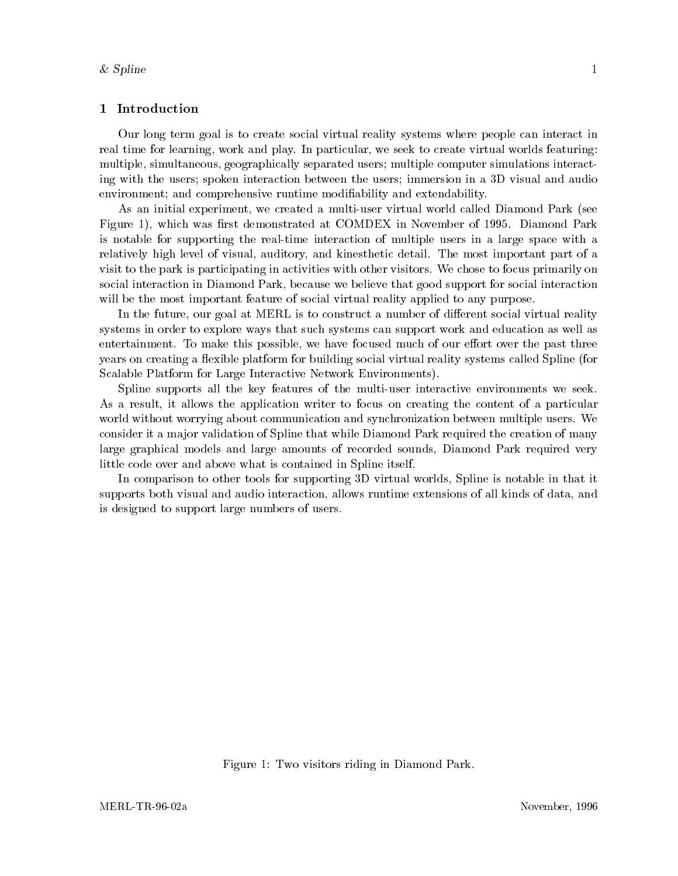## 1 Introduction

Our long term goal isto create social virtual reality systems where people can interact in real time for learning, work and play. In particular, we seek to create virtual worlds featuring: multiple, simultaneous, geographically separated users; multiple computer simulations interacting with the users; spoken interaction between the users; immersion in a 3D visual and audio environment; and comprehensive runtime modiability and extendability.

As an initial experiment, we created a multi-user virtual world called Diamond Park (see Figure 1), which was first demonstrated at COMDEX in November of 1995. Diamond Park is notable for supporting the real-time interaction of multiple users in a large space with a relatively high level of visual, auditory, and kinesthetic detail. The most important part of a visit to the park is participating in activities with other visitors. We chose to focus primarily on social interaction in Diamond Park, because we believe that good support for social interaction will be the most important feature of social virtual reality applied to any purpose.

In the future, our goal at MERL is to construct a number of different social virtual reality systems in order to explore ways that such systems can support work and education as well as entertainment. To make this possible, we have focused much of our effort over the past three years on creating a flexible platform for building social virtual reality systems called Spline (for Scalable Platform for Large Interactive Network Environments).

Spline supports all the key features of the multi-user interactive environments we seek. As a result, it allows the application writer to focus on creating the content of a particular world without worrying about communication and synchronization between multiple users. We consider it a ma jor validation of Spline that while Diamond Park required the creation of many large graphical models and large amounts of recorded sounds, Diamond Park required very little code over and above what is contained in Spline itself.

In comparison to other tools for supporting 3D virtual worlds, Spline is notable in that it supports both visual and audio interaction, allows runtime extensions of all kinds of data, and is designed to support large numbers of users.

Figure 1: Two visitors riding in Diamond Park.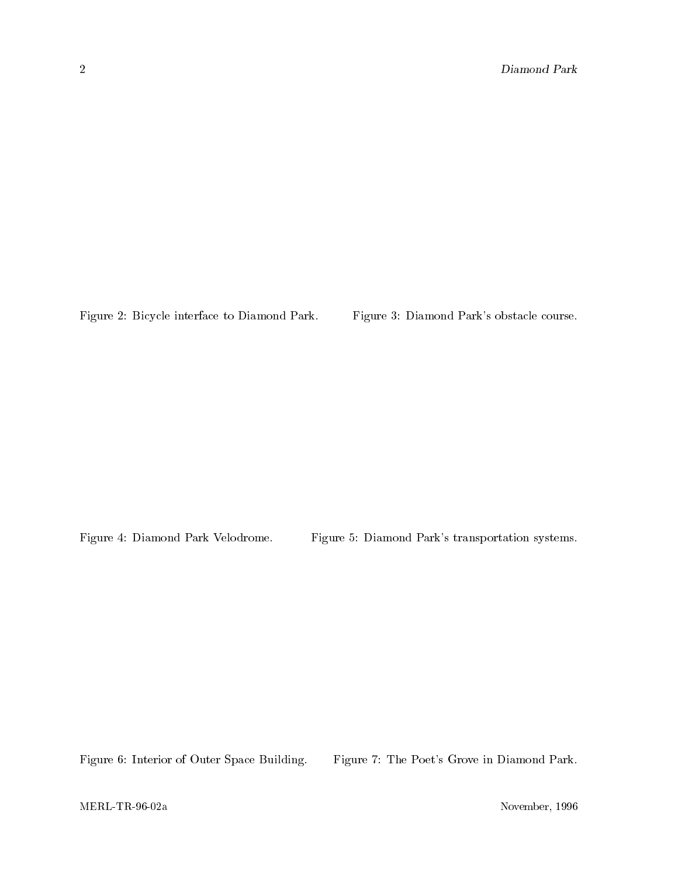Figure 2: Bicycle interface to Diamond Park. Figure 3: Diamond Park's obstacle course.

Figure 4: Diamond Park Velodrome. Figure 5: Diamond Park's transportation systems.

Figure 6: Interior of Outer Space Building. Figure 7: The Poet's Grove in Diamond Park.

MERL-TR-96-02a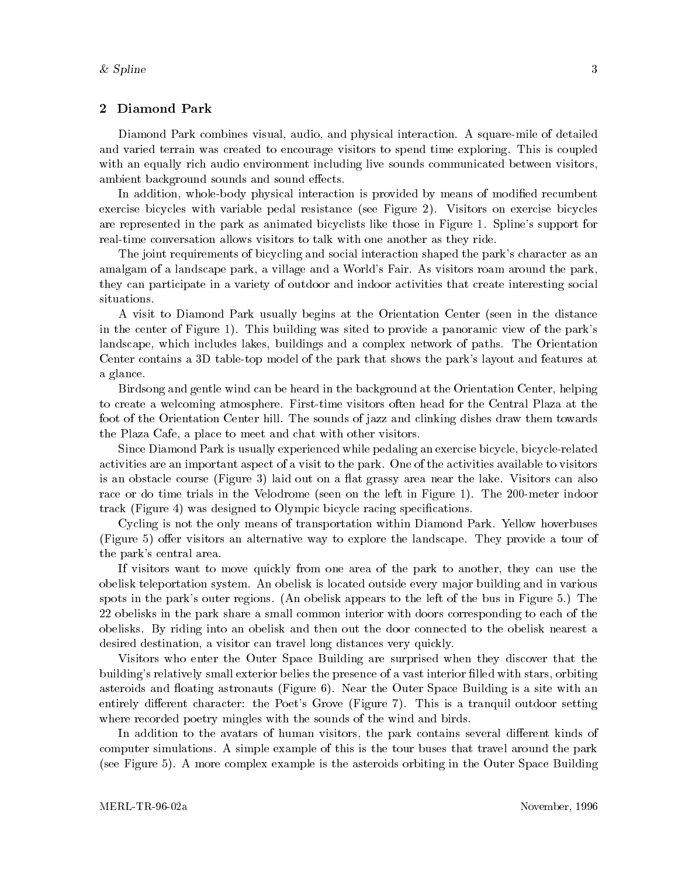## 2 Diamond Park

Diamond Park combines visual, audio, and physical interaction. A square-mile of detailed and varied terrain was created to encourage visitors to spend time exploring. This is coupled with an equally rich audio environment including live sounds communicated between visitors, ambient background sounds and sound effects.

In addition, whole-body physical interaction is provided by means of modified recumbent exercise bicycles with variable pedal resistance (see Figure 2). Visitors on exercise bicycles are represented in the park as animated bicyclists like those in Figure 1. Spline's support for real-time conversation allows visitors to talk with one another as they ride.

The joint requirements of bicycling and social interaction shaped the park's character as an amalgam of a landscape park, a village and a World's Fair. As visitors roam around the park, they can participate in a variety of outdoor and indoor activities that create interesting social situations.

A visit to Diamond Park usually begins at the Orientation Center (seen in the distance in the center of Figure 1). This building was sited to provide a panoramic view of the park's landscape, which includes lakes, buildings and a complex network of paths. The Orientation Center contains a 3D table-top model of the park that shows the park's layout and features at a glance.

Birdsong and gentle wind can be heard in the background at the Orientation Center, helping to create a welcoming atmosphere. First-time visitors often head for the Central Plaza at the foot of the Orientation Center hill. The sounds of jazz and clinking dishes draw them towards the Plaza Cafe, a place to meet and chat with other visitors.

Since Diamond Park is usually experienced while pedaling an exercise bicycle, bicycle-related activities are an important aspect of a visit to the park. One of the activities available to visitors is an obstacle course (Figure 3) laid out on a flat grassy area near the lake. Visitors can also race or do time trials in the Velodrome (seen on the left in Figure 1). The 200-meter indoor track (Figure 4) was designed to Olympic bicycle racing specifications.

Cycling is not the only means of transportation within Diamond Park. Yellow hoverbuses (Figure 5) offer visitors an alternative way to explore the landscape. They provide a tour of the park's central area.

If visitors want to move quickly from one area of the park to another, they can use the obelisk teleportation system. An obelisk is located outside every ma jor building and in various spots in the park's outer regions. (An obelisk appears to the left of the bus in Figure 5.) The 22 obelisks in the park share a small common interior with doors corresponding to each of the obelisks. By riding into an obelisk and then out the door connected to the obelisk nearest a desired destination, a visitor can travel long distances very quickly.

Visitors who enter the Outer Space Building are surprised when they discover that the building's relatively small exterior belies the presence of a vast interior filled with stars, orbiting asteroids and floating astronauts (Figure 6). Near the Outer Space Building is a site with an entirely different character: the Poet's Grove (Figure 7). This is a tranquil outdoor setting where recorded poetry mingles with the sounds of the wind and birds.

In addition to the avatars of human visitors, the park contains several different kinds of computer simulations. A simple example of this is the tour buses that travel around the park (see Figure 5). A more complex example is the asteroids orbiting in the Outer Space Building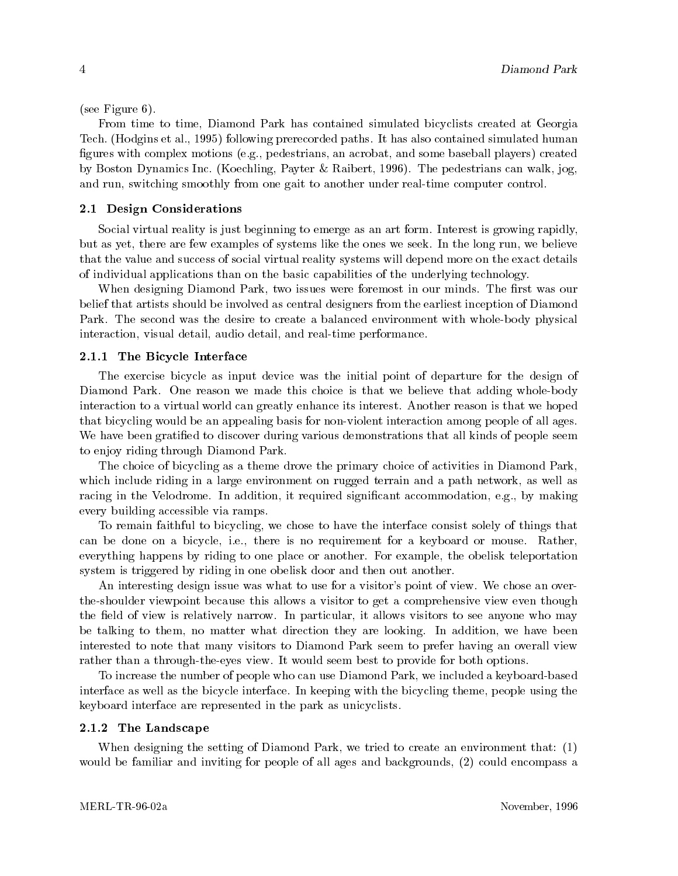(see Figure 6).

From time to time, Diamond Park has contained simulated bicyclists created at Georgia Tech. (Hodgins et al., 1995) following prerecorded paths. It has also contained simulated human figures with complex motions (e.g., pedestrians, an acrobat, and some baseball players) created by Boston Dynamics Inc. (Koechling, Payter & Raibert, 1996). The pedestrians can walk, jog, and run, switching smoothly from one gait to another under real-time computer control.

#### 2.1 Design Considerations

Social virtual reality is just beginning to emerge as an art form. Interest is growing rapidly, but as yet, there are few examples of systems like the ones we seek. In the long run, we believe that the value and success of social virtual reality systems will depend more on the exact details of individual applications than on the basic capabilities of the underlying technology.

When designing Diamond Park, two issues were foremost in our minds. The first was our belief that artists should be involved as central designers from the earliest inception of Diamond Park. The second was the desire to create a balanced environment with whole-body physical interaction, visual detail, audio detail, and real-time performance.

#### 2.1.1 The Bicycle Interface

The exercise bicycle as input device was the initial point of departure for the design of Diamond Park. One reason we made this choice is that we believe that adding whole-body interaction to a virtual world can greatly enhance its interest. Another reason is that we hoped that bicycling would be an appealing basis for non-violent interaction among people of all ages. We have been gratified to discover during various demonstrations that all kinds of people seem to enjoy riding through Diamond Park.

The choice of bicycling as a theme drove the primary choice of activities in Diamond Park, which include riding in a large environment on rugged terrain and a path network, as well as racing in the Velodrome. In addition, it required significant accommodation, e.g., by making every building accessible via ramps.

To remain faithful to bicycling, we chose to have the interface consist solely of things that can be done on a bicycle, i.e., there is no requirement for a keyboard or mouse. Rather, everything happens by riding to one place or another. For example, the obelisk teleportation system is triggered by riding in one obelisk door and then out another.

An interesting design issue was what to use for a visitor's point of view. We chose an overthe-shoulder viewpoint because this allows a visitor to get a comprehensive view even though the field of view is relatively narrow. In particular, it allows visitors to see anyone who may be talking to them, no matter what direction they are looking. In addition, we have been interested to note that many visitors to Diamond Park seem to prefer having an overall view rather than a through-the-eyes view. It would seem best to provide for both options.

To increase the number of people who can use Diamond Park, we included a keyboard-based interface as well as the bicycle interface. In keeping with the bicycling theme, people using the keyboard interface are represented in the park as unicyclists.

#### 2.1.2 The Landscape

When designing the setting of Diamond Park, we tried to create an environment that: (1) would be familiar and inviting for people of all ages and backgrounds, (2) could encompass a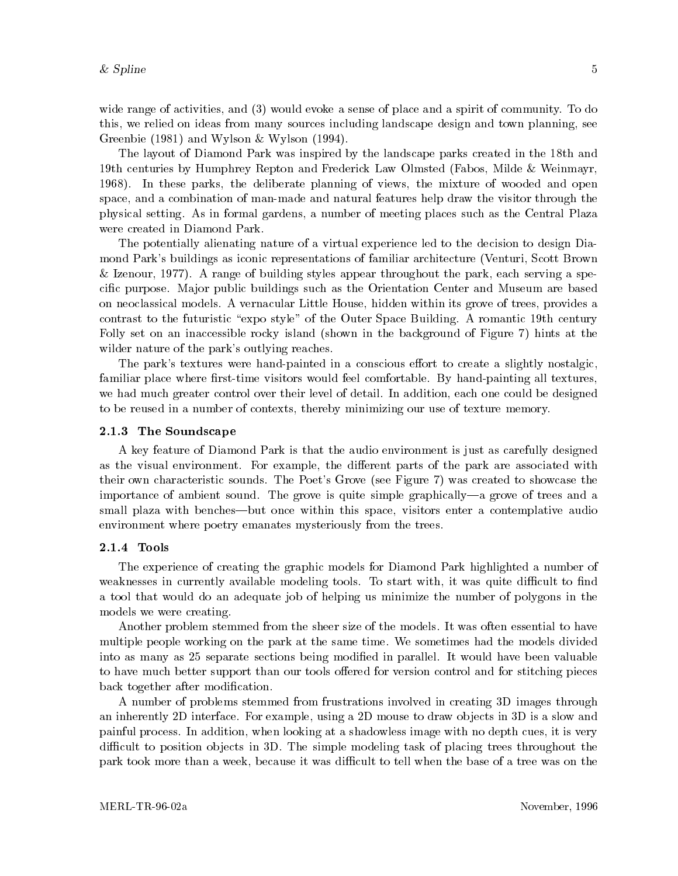wide range of activities, and (3) would evoke a sense of place and a spirit of community. To do this, we relied on ideas from many sources including landscape design and town planning, see Greenbie (1981) and Wylson & Wylson (1994).

The layout of Diamond Park was inspired by the landscape parks created in the 18th and 19th centuries by Humphrey Repton and Frederick Law Olmsted (Fabos, Milde & Weinmayr, 1968). In these parks, the deliberate planning of views, the mixture of wooded and open space, and a combination of man-made and natural features help draw the visitor through the physical setting. As in formal gardens, a number of meeting places such as the Central Plaza were created in Diamond Park.

The potentially alienating nature of a virtual experience led to the decision to design Diamond Park's buildings as iconic representations of familiar architecture (Venturi, Scott Brown & Izenour, 1977). A range of building styles appear throughout the park, each serving a specific purpose. Major public buildings such as the Orientation Center and Museum are based on neoclassical models. A vernacular Little House, hidden within its grove of trees, provides a contrast to the futuristic "expo style" of the Outer Space Building. A romantic 19th century Folly set on an inaccessible rocky island (shown in the background of Figure 7) hints at the wilder nature of the park's outlying reaches.

The park's textures were hand-painted in a conscious effort to create a slightly nostalgic. familiar place where first-time visitors would feel comfortable. By hand-painting all textures, we had much greater control over their level of detail. In addition, each one could be designed to be reused in a number of contexts, thereby minimizing our use of texture memory.

#### 2.1.3 The Soundscape

A key feature of Diamond Park is that the audio environment is just as carefully designed as the visual environment. For example, the different parts of the park are associated with their own characteristic sounds. The Poet's Grove (see Figure 7) was created to showcase the importance of ambient sound. The grove is quite simple graphically—a grove of trees and a small plaza with benches—but once within this space, visitors enter a contemplative audio environment where poetry emanates mysteriously from the trees.

### 2.1.4 Tools

The experience of creating the graphic models for Diamond Park highlighted a number of weaknesses in currently available modeling tools. To start with, it was quite difficult to find a tool that would do an adequate job of helping us minimize the number of polygons in the models we were creating.

Another problem stemmed from the sheer size of the models. It was often essential to have multiple people working on the park at the same time. We sometimes had the models divided into as many as 25 separate sections being modied in parallel. It would have been valuable to have much better support than our tools offered for version control and for stitching pieces back together after modification.

A number of problems stemmed from frustrations involved in creating 3D images through an inherently 2D interface. For example, using a 2D mouse to draw ob jects in 3D is a slow and painful process. In addition, when looking at a shadowless image with no depth cues, it is very difficult to position objects in 3D. The simple modeling task of placing trees throughout the park took more than a week, because it was difficult to tell when the base of a tree was on the

 $\overline{5}$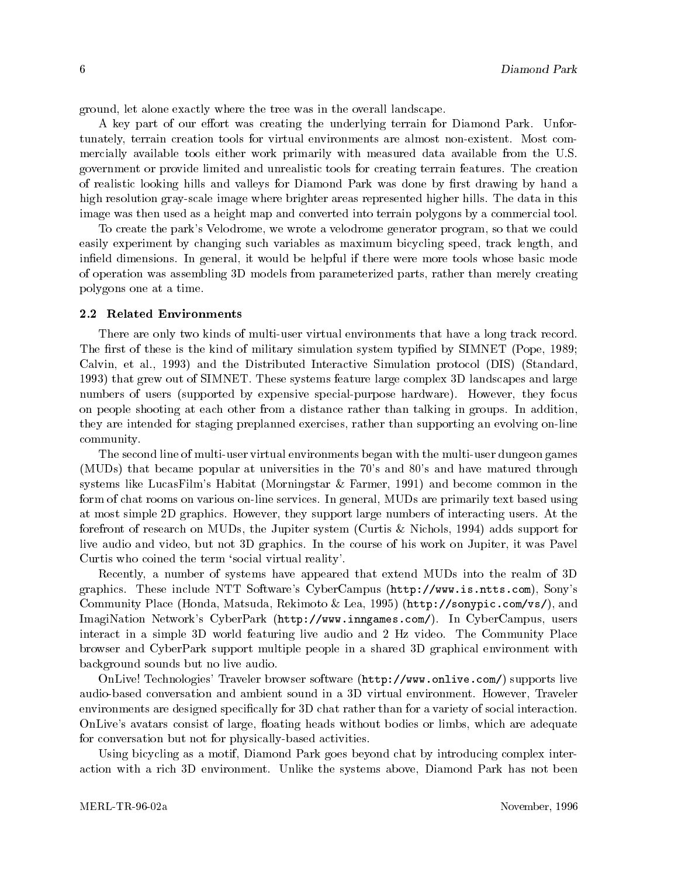ground, let alone exactly where the tree was in the overall landscape.

A key part of our effort was creating the underlying terrain for Diamond Park. Unfortunately, terrain creation tools for virtual environments are almost non-existent. Most commercially available tools either work primarily with measured data available from the U.S. government or provide limited and unrealistic tools for creating terrain features. The creation of realistic looking hills and valleys for Diamond Park was done by first drawing by hand a high resolution gray-scale image where brighter areas represented higher hills. The data in this image was then used as a height map and converted into terrain polygons by a commercial tool.

To create the park's Velodrome, we wrote a velodrome generator program, so that we could easily experiment by changing such variables as maximum bicycling speed, track length, and ineld dimensions. In general, it would be helpful if there were more tools whose basic mode of operation was assembling 3D models from parameterized parts, rather than merely creating polygons one at a time.

#### 2.2 Related Environments

There are only two kinds of multi-user virtual environments that have a long track record. The first of these is the kind of military simulation system typified by SIMNET (Pope, 1989; Calvin, et al., 1993) and the Distributed Interactive Simulation protocol (DIS) (Standard, 1993) that grew out of SIMNET. These systems feature large complex 3D landscapes and large numbers of users (supported by expensive special-purpose hardware). However, they focus on people shooting at each other from a distance rather than talking in groups. In addition, they are intended for staging preplanned exercises, rather than supporting an evolving on-line community.

The second line of multi-user virtual environments began with the multi-user dungeon games (MUDs) that became popular at universities in the 70's and 80's and have matured through systems like LucasFilm's Habitat (Morningstar & Farmer, 1991) and become common in the form of chat rooms on various on-line services. In general, MUDs are primarily text based using at most simple 2D graphics. However, they support large numbers of interacting users. At the forefront of research on MUDs, the Jupiter system (Curtis & Nichols, 1994) adds support for live audio and video, but not 3D graphics. In the course of his work on Jupiter, it was Pavel Curtis who coined the term 'social virtual reality'.

Recently, a number of systems have appeared that extend MUDs into the realm of 3D graphics. These include NTT Software's CyberCampus (http://www.is.ntts.com), Sony's Community Place (Honda, Matsuda, Rekimoto & Lea, 1995) (http://sonypic.com/vs/), and ImagiNation Network's CyberPark (http://www.inngames.com/). In CyberCampus, users interact in a simple 3D world featuring live audio and 2 Hz video. The Community Place browser and CyberPark support multiple people in a shared 3D graphical environment with background sounds but no live audio.

OnLive! Technologies' Traveler browser software (http://www.onlive.com/) supports live audio-based conversation and ambient sound in a 3D virtual environment. However, Traveler environments are designed specically for 3D chat rather than for a variety of social interaction. OnLive's avatars consist of large, floating heads without bodies or limbs, which are adequate for conversation but not for physically-based activities.

Using bicycling as a motif, Diamond Park goes beyond chat by introducing complex interaction with a rich 3D environment. Unlike the systems above, Diamond Park has not been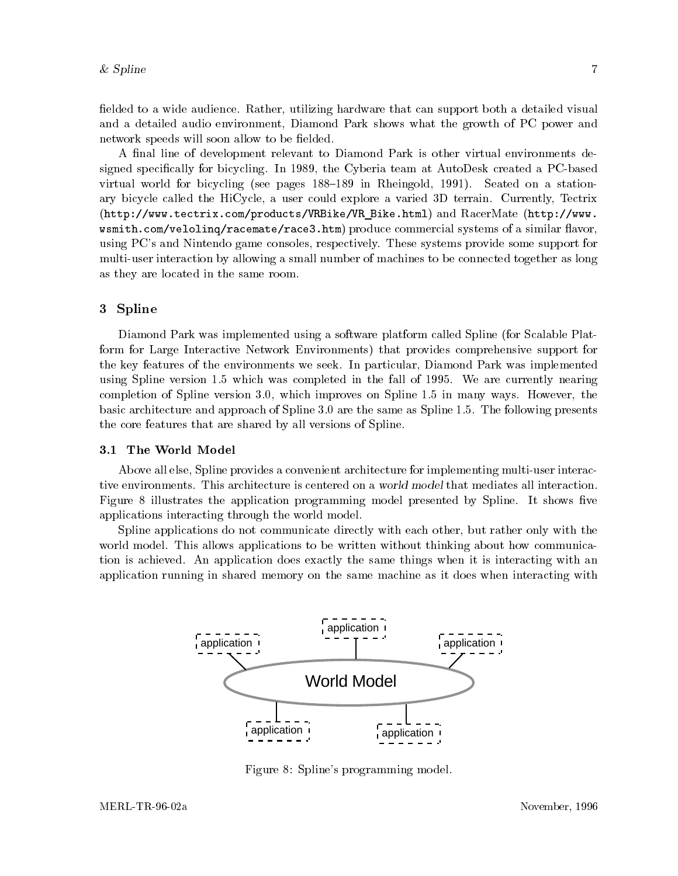fielded to a wide audience. Rather, utilizing hardware that can support both a detailed visual and a detailed audio environment, Diamond Park shows what the growth of PC power and network speeds will soon allow to be fielded.

A final line of development relevant to Diamond Park is other virtual environments designed specically for bicycling. In 1989, the Cyberia team at AutoDesk created a PC-based virtual world for bicycling (see pages  $188-189$  in Rheingold, 1991). Seated on a stationary bicycle called the HiCycle, a user could explore a varied 3D terrain. Currently, Tectrix (http://www.tectrix.com/products/VRBike/VR Bike.html) and RacerMate (http://www.  $w$ smith.com/veloling/racemate/race3.htm) produce commercial systems of a similar flavor. using PC's and Nintendo game consoles, respectively. These systems provide some support for multi-user interaction by allowing a small number of machines to be connected together as long as they are located in the same room.

## 3 Spline

Diamond Park was implemented using a software platform called Spline (for Scalable Platform for Large Interactive Network Environments) that provides comprehensive support for the key features of the environments we seek. In particular, Diamond Park was implemented using Spline version 1.5 which was completed in the fall of 1995. We are currently nearing completion of Spline version 3.0, which improves on Spline 1.5 in many ways. However, the basic architecture and approach of Spline 3.0 are the same as Spline 1.5. The following presents the core features that are shared by all versions of Spline.

### 3.1 The World Model

Above all else, Spline provides a convenient architecture for implementing multi-user interactive environments. This architecture is centered on a world model that mediates all interaction. Figure 8 illustrates the application programming model presented by Spline. It shows five applications interacting through the world model.

Spline applications do not communicate directly with each other, but rather only with the world model. This allows applications to be written without thinking about how communication is achieved. An application does exactly the same things when it is interacting with an application running in shared memory on the same machine as it does when interacting with



Figure 8: Spline's programming model.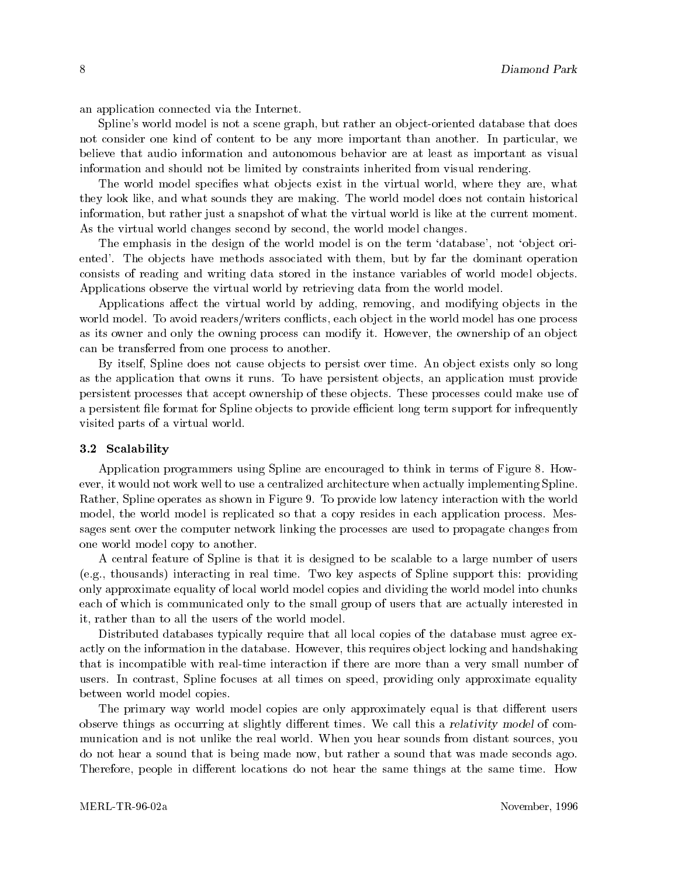an application connected via the Internet.

Spline's world model is not a scene graph, but rather an object-oriented database that does not consider one kind of content to be any more important than another. In particular, we believe that audio information and autonomous behavior are at least as important as visual information and should not be limited by constraints inherited from visual rendering.

The world model specifies what objects exist in the virtual world, where they are, what they look like, and what sounds they are making. The world model does not contain historical information, but rather just a snapshot of what the virtual world is like at the current moment. As the virtual world changes second by second, the world model changes.

The emphasis in the design of the world model is on the term 'database', not 'object oriented'. The objects have methods associated with them, but by far the dominant operation consists of reading and writing data stored in the instance variables of world model objects. Applications observe the virtual world by retrieving data from the world model.

Applications affect the virtual world by adding, removing, and modifying objects in the world model. To avoid readers/writers conflicts, each object in the world model has one process as its owner and only the owning process can modify it. However, the ownership of an object can be transferred from one process to another.

By itself, Spline does not cause objects to persist over time. An object exists only so long as the application that owns it runs. To have persistent objects, an application must provide persistent processes that accept ownership of these ob jects. These processes could make use of a persistent file format for Spline objects to provide efficient long term support for infrequently visited parts of a virtual world.

#### 3.2 Scalability

Application programmers using Spline are encouraged to think in terms of Figure 8. However, it would not work well to use a centralized architecture when actually implementing Spline. Rather, Spline operates as shown in Figure 9. To provide low latency interaction with the world model, the world model is replicated so that a copy resides in each application process. Messages sent over the computer network linking the processes are used to propagate changes from one world model copy to another.

A centralfeature of Spline is that it is designed to be scalable to a large number of users (e.g., thousands) interacting in realtime. Two key aspects of Spline support this: providing only approximate equality of local world model copies and dividing the world model into chunks each of which is communicated only to the small group of users that are actually interested in it, rather than to all the users of the world model.

Distributed databases typically require that all local copies of the database must agree exactly on the information in the database. However, this requires ob ject locking and handshaking that is incompatible with real-time interaction if there are more than a very small number of users. In contrast, Spline focuses at all times on speed, providing only approximate equality between world model copies.

The primary way world model copies are only approximately equal is that different users observe things as occurring at slightly different times. We call this a relativity model of communication and is not unlike the real world. When you hear sounds from distant sources, you do not hear a sound that is being made now, but rather a sound that was made seconds ago. Therefore, people in different locations do not hear the same things at the same time. How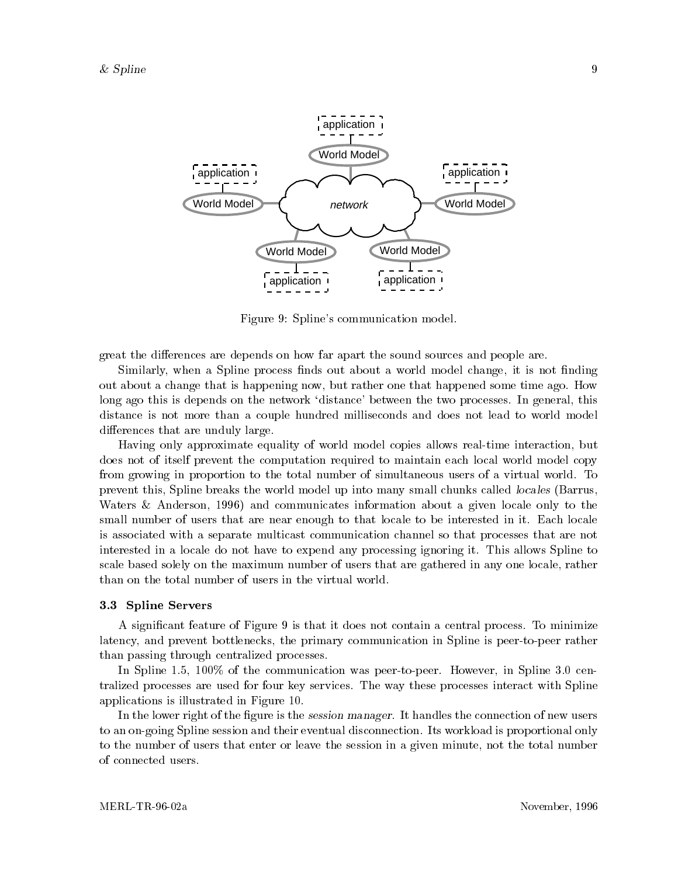

Figure 9: Spline's communication model.

great the differences are depends on how far apart the sound sources and people are.

Similarly, when a Spline process finds out about a world model change, it is not finding out about a change that is happening now, but rather one that happened some time ago. How long ago this is depends on the network 'distance' between the two processes. In general, this distance is not more than a couple hundred milliseconds and does not lead to world model differences that are unduly large.

Having only approximate equality of world model copies allows real-time interaction, but does not of itself prevent the computation required to maintain each local world model copy from growing in proportion to the total number of simultaneous users of a virtual world. To prevent this, Spline breaks the world model up into many small chunks called locales (Barrus, Waters & Anderson, 1996) and communicates information about a given locale only to the small number of users that are near enough to that locale to be interested in it. Each locale is associated with a separate multicast communication channel so that processes that are not interested in a locale do not have to expend any processing ignoring it. This allows Spline to scale based solely on the maximum number of users that are gathered in any one locale, rather than on the total number of users in the virtual world.

#### 3.3 Spline Servers

A signicant feature of Figure 9 is that it does not contain a central process. To minimize latency, and prevent bottlenecks, the primary communication in Spline is peer-to-peer rather than passing through centralized processes.

In Spline 1.5, 100\% of the communication was peer-to-peer. However, in Spline 3.0 centralized processes are used for four key services. The way these processes interact with Spline applications is illustrated in Figure 10.

In the lower right of the figure is the session manager. It handles the connection of new users to an on-going Spline session and their eventual disconnection. Its workload is proportional only to the number of users that enter or leave the session in a given minute, not the total number of connected users.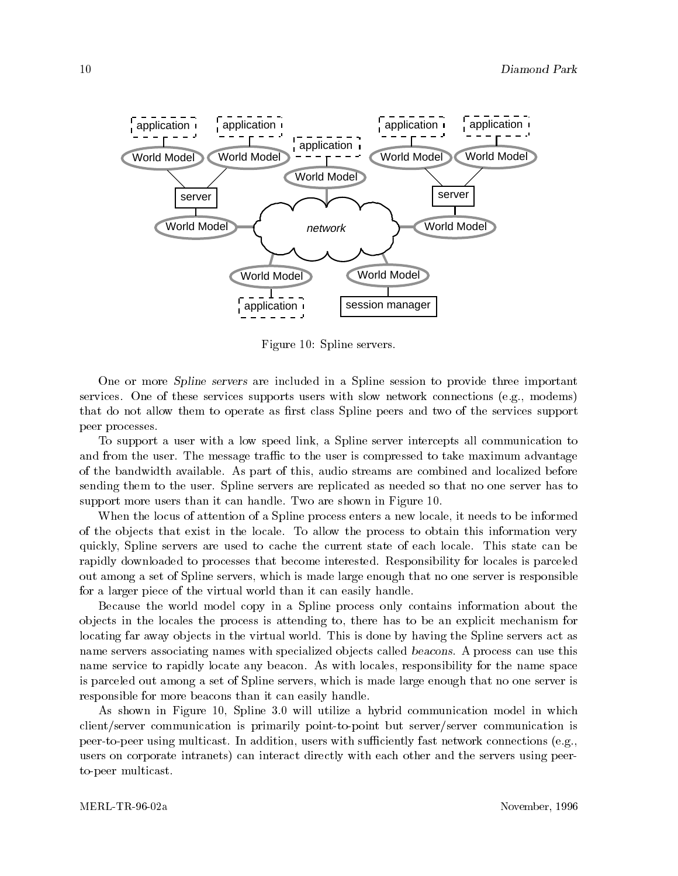

Figure 10: Spline servers.

One or more Spline servers are included in a Spline session to provide three important services. One of these services supports users with slow network connections (e.g., modems) that do not allow them to operate as first class Spline peers and two of the services support peer processes.

To support a user with a low speed link, a Spline server intercepts all communication to and from the user. The message traffic to the user is compressed to take maximum advantage of the bandwidth available. As part of this, audio streams are combined and localized before sending them to the user. Spline servers are replicated as needed so that no one server has to support more users than it can handle. Two are shown in Figure 10.

When the locus of attention of a Spline process enters a new locale, it needs to be informed of the ob jects that exist in the locale. To allow the process to obtain this information very quickly, Spline servers are used to cache the current state of each locale. This state can be rapidly downloaded to processes that become interested. Responsibility for locales is parceled out among a set of Spline servers, which is made large enough that no one server is responsible for a larger piece of the virtual world than it can easily handle.

Because the world model copy in a Spline process only contains information about the ob jects in the locales the process is attending to, there has to be an explicit mechanism for locating far away objects in the virtual world. This is done by having the Spline servers act as name servers associating names with specialized objects called beacons. A process can use this name service to rapidly locate any beacon. As with locales, responsibility for the name space is parceled out among a set of Spline servers, which is made large enough that no one server is responsible for more beacons than it can easily handle.

As shown in Figure 10, Spline 3.0 will utilize a hybrid communication model in which client/server communication is primarily point-to-point but server/server communication is peer-to-peer using multicast. In addition, users with sufficiently fast network connections (e.g., users on corporate intranets) can interact directly with each other and the servers using peerto-peer multicast.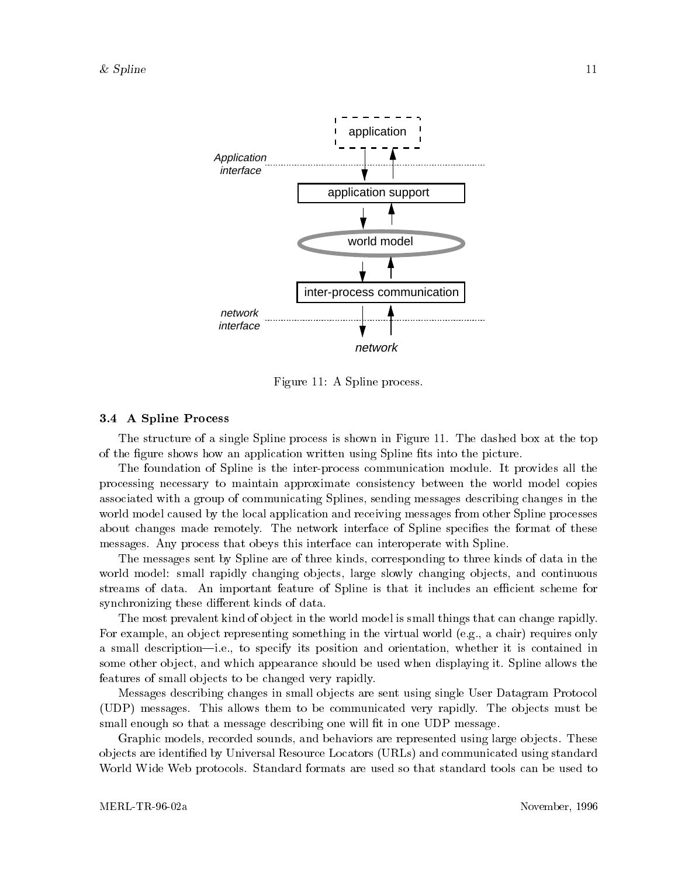

Figure 11: A Spline process.

#### 3.4 A Spline Process

The structure of a single Spline process is shown in Figure 11. The dashed box at the top of the figure shows how an application written using Spline fits into the picture.

The foundation of Spline is the inter-process communication module. It provides all the processing necessary to maintain approximate consistency between the world model copies associated with a group of communicating Splines, sending messages describing changes in the world model caused by the local application and receiving messages from other Spline processes about changes made remotely. The network interface of Spline specifies the format of these messages. Any process that obeys this interface can interoperate with Spline.

The messages sent by Spline are of three kinds, corresponding to three kinds of data in the world model: small rapidly changing objects, large slowly changing objects, and continuous streams of data. An important feature of Spline is that it includes an efficient scheme for synchronizing these different kinds of data.

The most prevalent kind of object in the world model is small things that can change rapidly. For example, an object representing something in the virtual world (e.g., a chair) requires only a small description—i.e., to specify its position and orientation, whether it is contained in some other object, and which appearance should be used when displaying it. Spline allows the features of small objects to be changed very rapidly.

Messages describing changes in small ob jects are sent using single User Datagram Protocol (UDP) messages. This allows them to be communicated very rapidly. The objects must be small enough so that a message describing one will fit in one UDP message.

Graphic models, recorded sounds, and behaviors are represented using large objects. These ob jects are identied by Universal Resource Locators (URLs) and communicated using standard World Wide Web protocols. Standard formats are used so that standard tools can be used to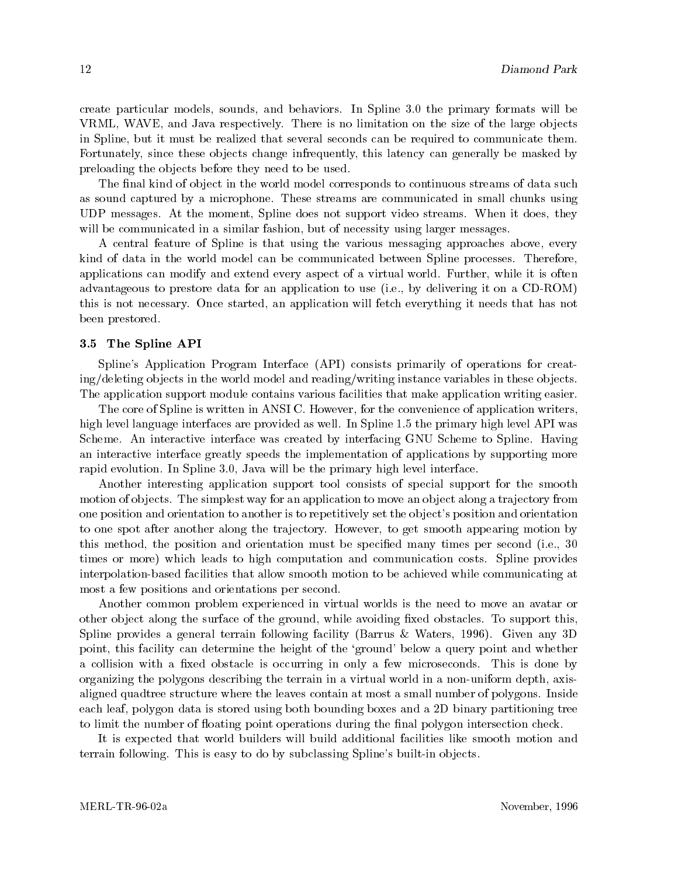create particular models, sounds, and behaviors. In Spline 3.0 the primary formats will be VRML, WAVE, and Java respectively. There is no limitation on the size of the large objects in Spline, but it must be realized that several seconds can be required to communicate them. Fortunately, since these objects change infrequently, this latency can generally be masked by preloading the objects before they need to be used.

The final kind of object in the world model corresponds to continuous streams of data such as sound captured by a microphone. These streams are communicated in small chunks using UDP messages. At the moment, Spline does not support video streams. When it does, they will be communicated in a similar fashion, but of necessity using larger messages.

A central feature of Spline is that using the various messaging approaches above, every kind of data in the world model can be communicated between Spline processes. Therefore, applications can modify and extend every aspect of a virtual world. Further, while it is often advantageous to prestore data for an application to use (i.e., by delivering it on a CD-ROM) this is not necessary. Once started, an application will fetch everything it needs that has not been prestored.

#### 3.5 The Spline API

Spline's Application Program Interface (API) consists primarily of operations for creating/deleting objects in the world model and reading/writing instance variables in these objects. The application support module contains various facilities that make application writing easier.

The core of Spline is written in ANSI C. However, for the convenience of application writers, high level language interfaces are provided as well. In Spline 1.5 the primary high level API was Scheme. An interactive interface was created by interfacing GNU Scheme to Spline. Having an interactive interface greatly speeds the implementation of applications by supporting more rapid evolution. In Spline 3.0, Java will be the primary high level interface.

Another interesting application support tool consists of special support for the smooth motion of objects. The simplest way for an application to move an object along a trajectory from one position and orientation to another is to repetitively set the object's position and orientation to one spot after another along the trajectory. However, to get smooth appearing motion by this method, the position and orientation must be specied many times per second (i.e., 30 times or more) which leads to high computation and communication costs. Spline provides interpolation-based facilities that allow smooth motion to be achieved while communicating at most a few positions and orientations per second.

Another common problem experienced in virtual worlds is the need to move an avatar or other object along the surface of the ground, while avoiding fixed obstacles. To support this, Spline provides a general terrain following facility (Barrus & Waters,1996). Given any 3D point, this facility can determine the height of the `ground' below a query point and whether a collision with a fixed obstacle is occurring in only a few microseconds. This is done by organizing the polygons describing the terrain in a virtual world in a non-uniform depth, axisaligned quadtree structure where the leaves contain at most a small number of polygons. Inside each leaf, polygon data is stored using both bounding boxes and a 2D binary partitioning tree to limit the number of floating point operations during the final polygon intersection check.

It is expected that world builders will build additional facilities like smooth motion and terrain following. This is easy to do by subclassing Spline's built-in objects.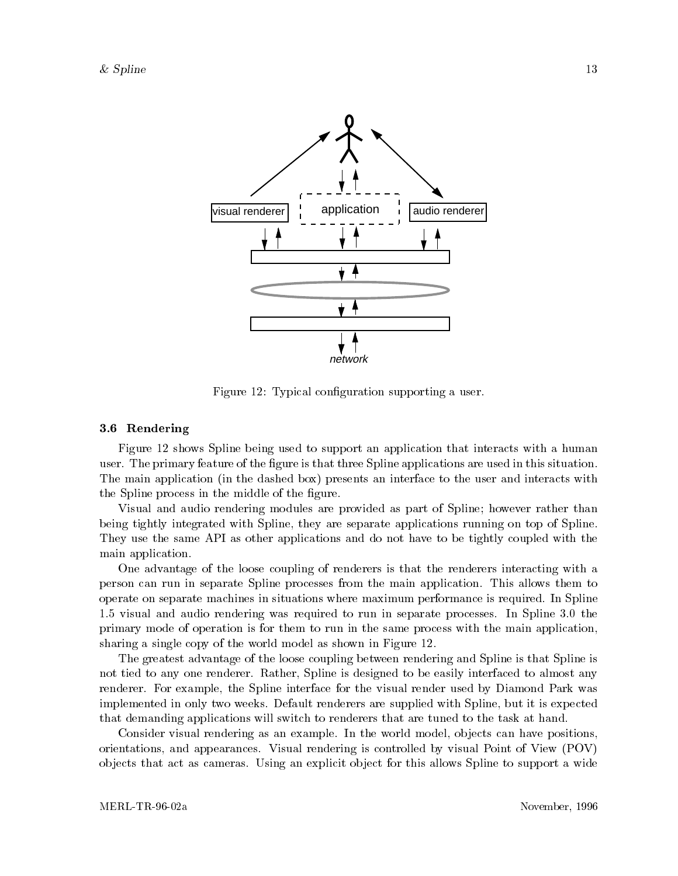

Figure 12: Typical configuration supporting a user.

#### 3.6 Rendering

Figure 12 shows Spline being used to support an application that interacts with a human user. The primary feature of the figure is that three Spline applications are used in this situation. The main application (in the dashed box) presents an interface to the user and interacts with the Spline process in the middle of the figure.

Visual and audio rendering modules are provided as part of Spline; however rather than being tightly integrated with Spline, they are separate applications running on top of Spline. They use the same API as other applications and do not have to be tightly coupled with the main application.

One advantage of the loose coupling of renderers is that the renderers interacting with a person can run in separate Spline processes from the main application. This allows them to operate on separate machines in situations where maximum performance is required. In Spline 1.5 visual and audio rendering was required to run in separate processes. In Spline 3.0 the primary mode of operation is for them to run in the same process with the main application, sharing a single copy of the world model as shown in Figure 12.

The greatest advantage of the loose coupling between rendering and Spline is that Spline is not tied to any one renderer. Rather, Spline is designed to be easily interfaced to almost any renderer. For example, the Spline interface for the visual render used by Diamond Park was implemented in only two weeks. Default renderers are supplied with Spline, but it is expected that demanding applications will switch to renderers that are tuned to the task at hand.

Consider visual rendering as an example. In the world model, objects can have positions, orientations, and appearances. Visual rendering is controlled by visual Point of View (POV) objects that act as cameras. Using an explicit object for this allows Spline to support a wide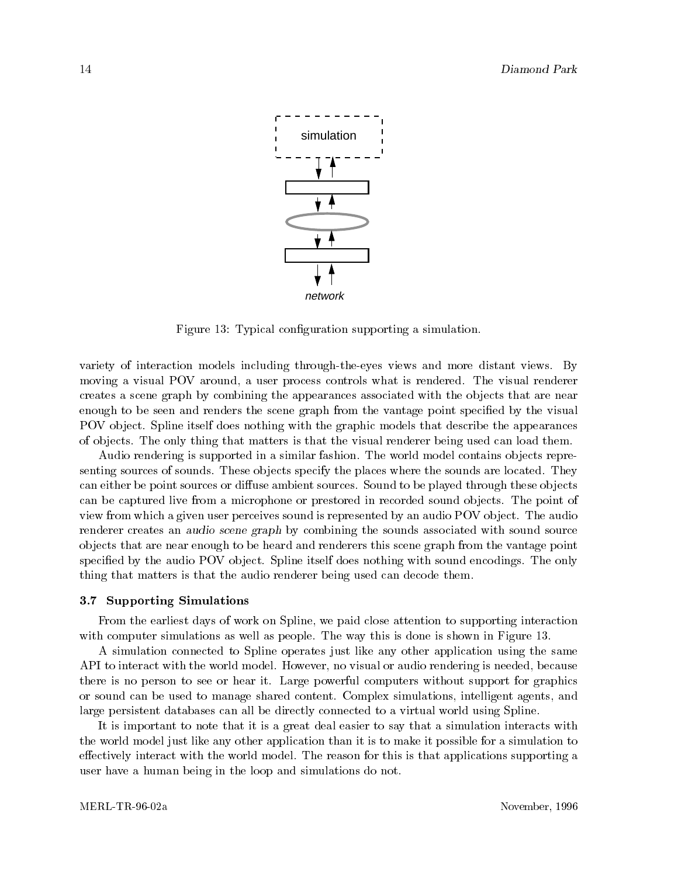

Figure 13: Typical configuration supporting a simulation.

variety of interaction models including through-the-eyes views and more distant views. By moving a visual POV around, a user process controls what is rendered. The visual renderer creates a scene graph by combining the appearances associated with the objects that are near enough to be seen and renders the scene graph from the vantage point specied by the visual POV object. Spline itself does nothing with the graphic models that describe the appearances of ob jects. The only thing that matters is that the visual renderer being used can load them.

Audio rendering is supported in a similar fashion. The world model contains objects representing sources of sounds. These objects specify the places where the sounds are located. They can either be point sources or diffuse ambient sources. Sound to be played through these objects can be captured live from a microphone or prestored in recorded sound ob jects. The point of view from which a given user perceives sound is represented by an audio POV object. The audio renderer creates an audio scene graph by combining the sounds associated with sound source ob jects that are near enough to be heard and renderers this scene graph from the vantage point specified by the audio POV object. Spline itself does nothing with sound encodings. The only thing that matters is that the audio renderer being used can decode them.

#### 3.7 Supporting Simulations

From the earliest days of work on Spline, we paid close attention to supporting interaction with computer simulations as well as people. The way this is done is shown in Figure 13.

A simulation connected to Spline operates just like any other application using the same API to interact with the world model. However, no visual or audio rendering is needed, because there is no person to see or hear it. Large powerful computers without support for graphics or sound can be used to manage shared content. Complex simulations, intelligent agents, and large persistent databases can all be directly connected to a virtual world using Spline.

It is important to note that it is a great deal easier to say that a simulation interacts with the world model just like any other application than it is to make it possible for a simulation to effectively interact with the world model. The reason for this is that applications supporting a user have a human being in the loop and simulations do not.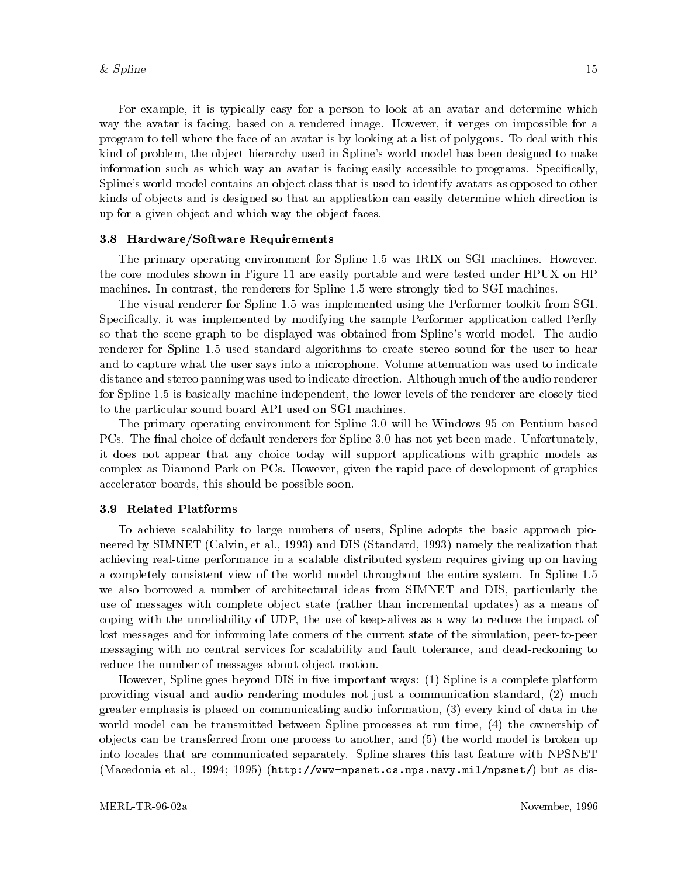For example, it is typically easy for a person to look at an avatar and determine which way the avatar is facing, based on a rendered image. However, it verges on impossible for a program to tell where the face of an avatar is by looking at a list of polygons. To deal with this kind of problem, the object hierarchy used in Spline's world model has been designed to make information such aswhich way an avatar is facing easily accessible to programs. Specically, Spline's world model contains an ob ject class that is used to identify avatars as opposed to other kinds of objects and is designed so that an application can easily determine which direction is up for a given object and which way the object faces.

#### 3.8 Hardware/Software Requirements

The primary operating environment for Spline 1.5 was IRIX on SGI machines. However, the core modules shown in Figure 11 are easily portable and were tested under HPUX on HP machines. In contrast, the renderers for Spline 1.5 were strongly tied to SGI machines.

The visual renderer for Spline 1.5 was implemented using the Performer toolkit from SGI. Specifically, it was implemented by modifying the sample Performer application called Perfly so that the scene graph to be displayed was obtained from Spline's world model. The audio renderer for Spline 1.5 used standard algorithms to create stereo sound for the user to hear and to capture what the user says into a microphone. Volume attenuation was used to indicate distance and stereo panning was used to indicate direction. Although much of the audio renderer for Spline 1.5 is basically machine independent, the lower levels of the renderer are closely tied to the particular sound board API used on SGI machines.

The primary operating environment for Spline 3.0 will be Windows 95 on Pentium-based PCs. The final choice of default renderers for Spline 3.0 has not yet been made. Unfortunately, it does not appear that any choice today will support applications with graphic models as complex as Diamond Park on PCs. However, given the rapid pace of development of graphics accelerator boards, this should be possible soon.

#### 3.9 Related Platforms

To achieve scalability to large numbers of users, Spline adopts the basic approach pioneered by SIMNET (Calvin, et al., 1993) and DIS (Standard, 1993) namely the realization that achieving real-time performance in a scalable distributed system requires giving up on having a completely consistent view of the world model throughout the entire system. In Spline 1.5 we also borrowed a number of architectural ideas from SIMNET and DIS, particularly the use of messages with complete object state (rather than incremental updates) as a means of coping with the unreliability of UDP, the use of keep-alives as a way to reduce the impact of lost messages and for informing late comers of the current state of the simulation, peer-to-peer messaging with no central services for scalability and fault tolerance, and dead-reckoning to reduce the number of messages about object motion.

However, Spline goes beyond DIS in five important ways:  $(1)$  Spline is a complete platform providing visual and audio rendering modules not just a communication standard, (2) much greater emphasis is placed on communicating audio information, (3) every kind of data in the world model can be transmitted between Spline processes at run time, (4) the ownership of ob jects can be transferred from one process to another, and (5) the world model is broken up into locales that are communicated separately. Spline shares this last feature with NPSNET (Macedonia et al., 1994; 1995) (http://www-npsnet.cs.nps.navy.mil/npsnet/) but as dis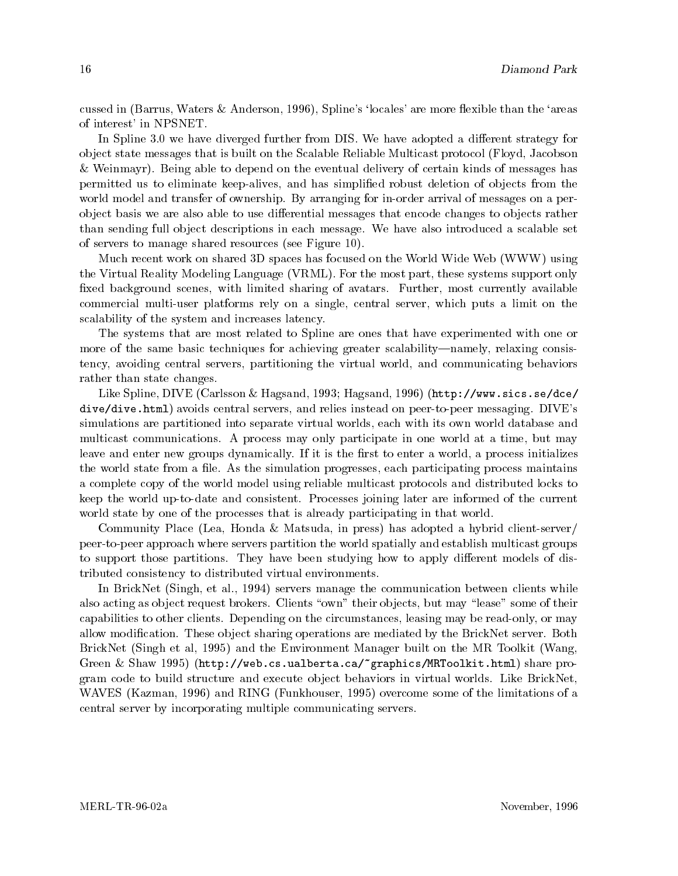cussed in (Barrus, Waters & Anderson, 1996), Spline's 'locales' are more flexible than the 'areas of interest' in NPSNET.

In Spline 3.0 we have diverged further from DIS. We have adopted a different strategy for ob ject state messages that is built on the Scalable Reliable Multicast protocol (Floyd, Jacobson & Weinmayr). Being able to depend on the eventual delivery of certain kinds of messages has permitted us to eliminate keep-alives, and has simplified robust deletion of objects from the world model and transfer of ownership. By arranging for in-order arrival of messages on a perobject basis we are also able to use differential messages that encode changes to objects rather than sending full object descriptions in each message. We have also introduced a scalable set of servers to manage shared resources (see Figure 10).

Much recent work on shared 3D spaces has focused on the World Wide Web (WWW) using the Virtual Reality Modeling Language (VRML). For the most part, these systems support only fixed background scenes, with limited sharing of avatars. Further, most currently available commercial multi-user platforms rely on a single, central server, which puts a limit on the scalability of the system and increases latency.

The systems that are most related to Spline are ones that have experimented with one or more of the same basic techniques for achieving greater scalability—namely, relaxing consistency, avoiding central servers, partitioning the virtual world, and communicating behaviors rather than state changes.

Like Spline, DIVE (Carlsson & Hagsand, 1993; Hagsand, 1996) (http://www.sics.se/dce/ dive/dive.html) avoids central servers, and relies instead on peer-to-peer messaging. DIVE's simulations are partitioned into separate virtual worlds, each with its own world database and multicast communications. A process may only participate in one world ata time, but may leave and enter new groups dynamically. If it is the first to enter a world, a process initializes the world state from a file. As the simulation progresses, each participating process maintains a complete copy of the world model using reliable multicast protocols and distributed locks to keep the world up-to-date and consistent. Processes joining later are informed of the current world state by one of the processes that is already participating in that world.

Community Place (Lea, Honda & Matsuda, in press) has adopted a hybrid client-server/ peer-to-peer approach where servers partition the world spatially and establish multicast groups to support those partitions. They have been studying how to apply different models of distributed consistency to distributed virtual environments.

In BrickNet (Singh, et al., 1994) servers manage the communication between clients while also acting as object request brokers. Clients "own" their objects, but may "lease" some of their capabilities to other clients. Depending on the circumstances, leasing may be read-only, or may allow modification. These object sharing operations are mediated by the BrickNet server. Both BrickNet (Singh et al, 1995) and the Environment Manager built on the MR Toolkit (Wang, Green & Shaw 1995) (http://web.cs.ualberta.ca/~graphics/MRToolkit.html) share program code to build structure and execute ob ject behaviors in virtual worlds. Like BrickNet, WAVES (Kazman, 1996) and RING (Funkhouser, 1995) overcome some of the limitations of a central server by incorporating multiple communicating servers.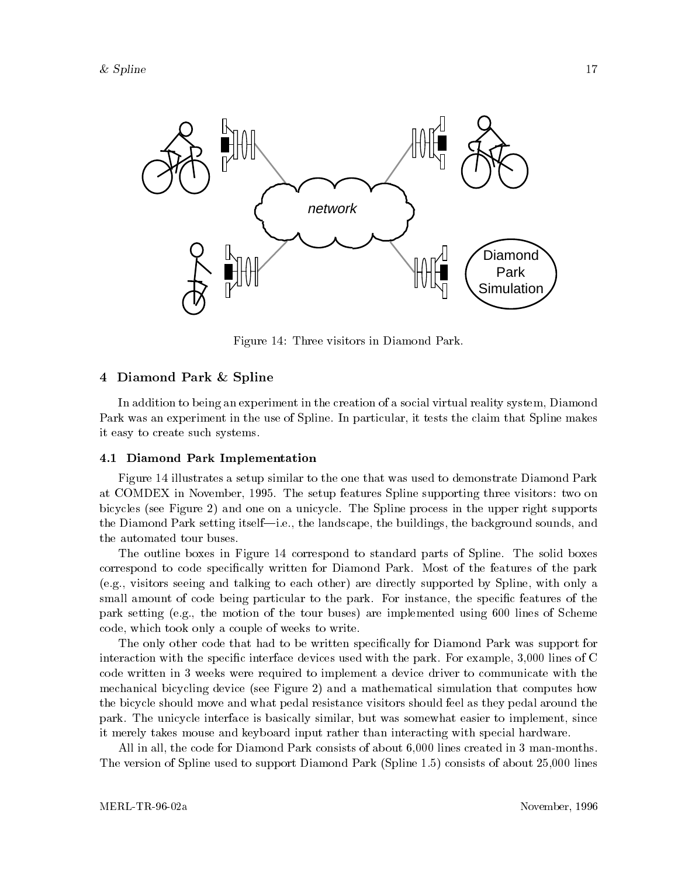

Figure 14: Three visitors in Diamond Park.

## 4 Diamond Park & Spline

In addition to being an experiment in the creation of a social virtual reality system, Diamond Park was an experiment in the use of Spline. In particular, it tests the claim that Spline makes it easy to create such systems.

#### 4.1 Diamond Park Implementation

Figure 14 illustrates a setup similar to the one that was used to demonstrate Diamond Park at COMDEX in November, 1995. The setup features Spline supporting three visitors: two on bicycles (see Figure 2) and one on a unicycle. The Spline process in the upper right supports the Diamond Park setting itself—i.e., the landscape, the buildings, the background sounds, and the automated tour buses.

The outline boxes in Figure 14 correspond to standard parts of Spline. The solid boxes correspond to code specically written for Diamond Park. Most of the features of the park (e.g., visitors seeing and talking to each other) are directly supported by Spline, with only a small amount of code being particular to the park. For instance, the specific features of the park setting (e.g., the motion of the tour buses) are implemented using 600 lines of Scheme code, which took only a couple of weeks to write.

The only other code that had to be written specically for Diamond Park was support for interaction with the specific interface devices used with the park. For example, 3,000 lines of C code written in 3 weeks were required to implement a device driver to communicate with the mechanical bicycling device (see Figure 2) and a mathematical simulation that computes how the bicycle should move and what pedal resistance visitors should feel as they pedal around the park. The unicycle interface is basically similar, but was somewhat easier to implement, since it merely takes mouse and keyboard input rather than interacting with special hardware.

All in all, the code for Diamond Park consists of about 6,000 lines created in 3 man-months. The version of Spline used to support Diamond Park (Spline 1.5) consists of about 25,000 lines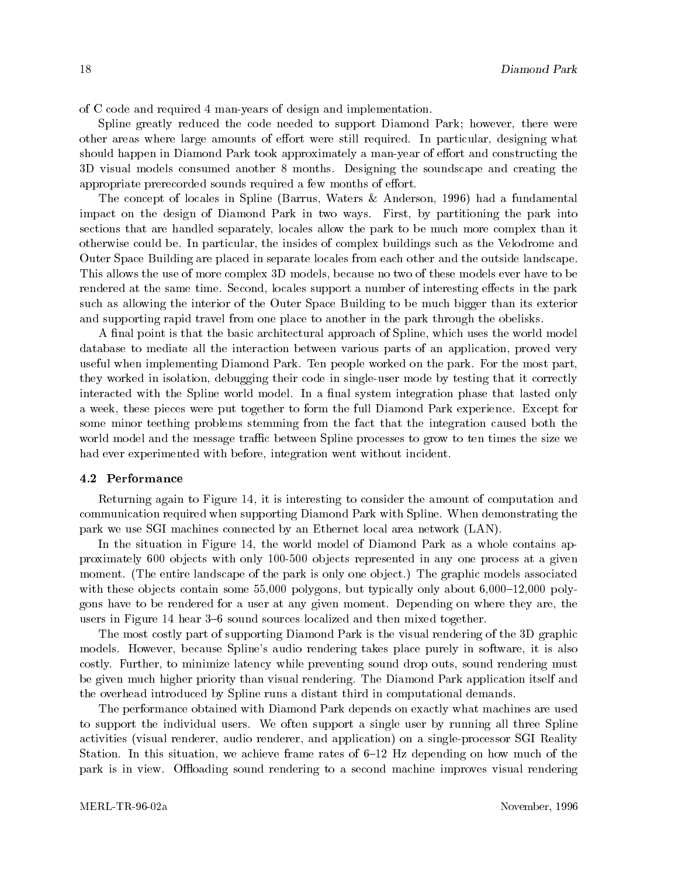of C code and required 4 man-years of design and implementation.

Spline greatly reduced the code needed to support Diamond Park; however, there were other areas where large amounts of effort were still required. In particular, designing what should happen in Diamond Park took approximately a man-year of effort and constructing the 3D visual models consumed another 8 months. Designing the soundscape and creating the appropriate prerecorded sounds required a few months of effort.

The concept of locales in Spline (Barrus, Waters & Anderson, 1996) had a fundamental impact on the design of Diamond Park in two ways. First, by partitioning the park into sections that are handled separately, locales allow the park to be much more complex than it otherwise could be. In particular, the insides of complex buildings such as the Velodrome and Outer Space Building are placed in separate locales from each other and the outside landscape. This allows the use of more complex 3D models, because no two of these models ever have to be rendered at the same time. Second, locales support a number of interesting effects in the park such as allowing the interior of the Outer Space Building to be much bigger than its exterior and supporting rapid travel from one place to another in the park through the obelisks.

A final point is that the basic architectural approach of Spline, which uses the world model database to mediate all the interaction between various parts of an application, proved very useful when implementing Diamond Park. Ten people worked on the park. For the most part, they worked in isolation, debugging their code in single-user mode by testing that it correctly interacted with the Spline world model. In a final system integration phase that lasted only a week, these pieces were put together to form the full Diamond Park experience. Except for some minor teething problems stemming from the fact that the integration caused both the world model and the message traffic between Spline processes to grow to ten times the size we had ever experimented with before, integration went without incident.

### 4.2 Performance

Returning again to Figure 14, it is interesting to consider the amount of computation and communication required when supporting Diamond Park with Spline. When demonstrating the park we use SGI machines connected by an Ethernet local area network (LAN).

In the situation in Figure 14, the world model of Diamond Park as a whole contains approximately 600 objects with only 100-500 objects represented in any one process at a given moment. (The entire landscape of the park is only one object.) The graphic models associated with these objects contain some  $55,000$  polygons, but typically only about  $6,000$ -12,000 polygons have to be rendered for a user at any given moment. Depending on where they are, the users in Figure 14 hear 3-6 sound sources localized and then mixed together.

The most costly part of supporting Diamond Park is the visual rendering of the 3D graphic models. However, because Spline's audio rendering takes place purely in software, it is also costly. Further, to minimize latency while preventing sound drop outs, sound rendering must be given much higher priority than visual rendering. The Diamond Park application itself and the overhead introduced by Spline runs a distant third in computational demands.

The performance obtained with Diamond Park depends on exactly what machines are used to support the individual users. We often support a single user by running all three Spline activities (visual renderer, audio renderer, and application) on a single-processor SGI Reality Station. In this situation, we achieve frame rates of  $6-12$  Hz depending on how much of the park is in view. Offloading sound rendering to a second machine improves visual rendering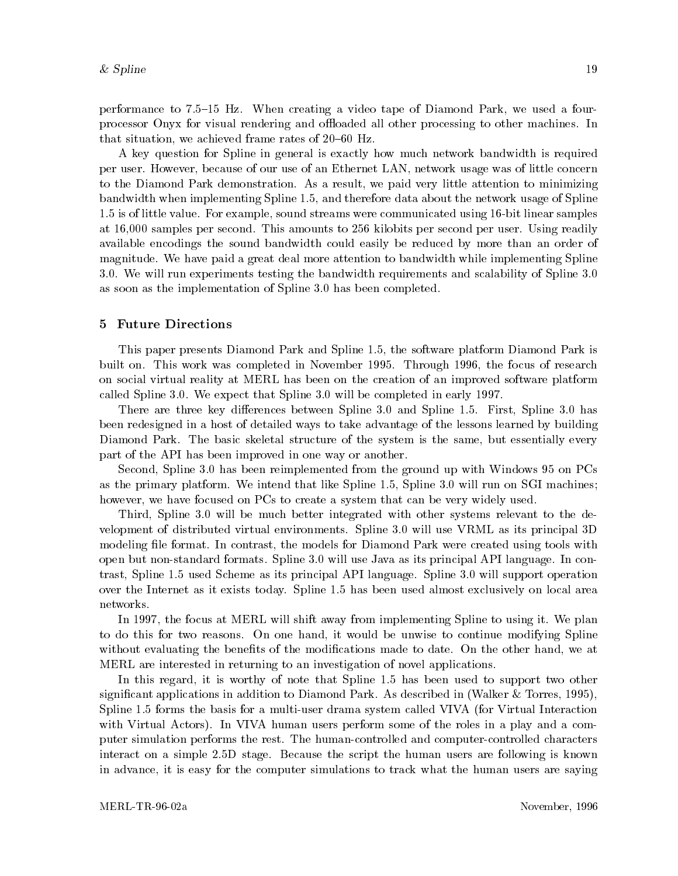performance to  $7.5-15$  Hz. When creating a video tape of Diamond Park, we used a fourprocessor Onyx for visual rendering and offloaded all other processing to other machines. In that situation, we achieved frame rates of  $20{-}60$  Hz.

A key question for Spline in general is exactly how much network bandwidth is required per user. However, because of our use of an Ethernet LAN, network usage was of little concern to the Diamond Park demonstration. As a result, we paid very little attention to minimizing bandwidth when implementing Spline 1.5, and therefore data about the network usage of Spline 1.5 is of little value. For example, sound streams were communicated using 16-bit linear samples at 16,000 samples per second. This amounts to 256 kilobits per second per user. Using readily available encodings the sound bandwidth could easily be reduced by more than an order of magnitude. We have paid a great deal more attention to bandwidth while implementing Spline 3.0. We will run experiments testing the bandwidth requirements and scalability of Spline 3.0 as soon as the implementation of Spline 3.0 has been completed.

#### 5 Future Directions

This paper presents Diamond Park and Spline 1.5, the software platform Diamond Park is built on. This work was completed in November 1995. Through 1996, the focus of research on social virtual reality at MERL has been on the creation of an improved software platform called Spline 3.0. We expect that Spline 3.0 will be completed in early 1997.

There are three key differences between Spline 3.0 and Spline 1.5. First, Spline 3.0 has been redesigned in a host of detailed ways to take advantage of the lessons learned by building Diamond Park. The basic skeletal structure of the system is the same, but essentially every part of the API has been improved in one way or another.

Second, Spline 3.0 has been reimplemented from the ground up with Windows 95 on PCs as the primary platform. We intend that like Spline 1.5, Spline 3.0 will run on SGI machines; however, we have focused on PCs to create a system that can be very widely used.

Third, Spline 3.0 will be much better integrated with other systems relevant to the development of distributed virtual environments. Spline 3.0 will use VRML as its principal 3D modeling file format. In contrast, the models for Diamond Park were created using tools with open but non-standard formats. Spline 3.0 will use Java as its principal API language. In contrast, Spline 1.5 used Scheme as its principal API language. Spline 3.0 will support operation over the Internet as it exists today. Spline 1.5 has been used almost exclusively on local area networks.

In 1997, the focus at MERL will shift away from implementing Spline to using it. We plan to do this for two reasons. On one hand, it would be unwise to continue modifying Spline without evaluating the benefits of the modifications made to date. On the other hand, we at MERL are interested in returning to an investigation of novel applications.

In this regard, it is worthy of note that Spline 1.5 has been used to support two other signicant applications in addition to Diamond Park. As described in (Walker & Torres, 1995), Spline 1.5 forms the basis for a multi-user drama system called VIVA (for Virtual Interaction with Virtual Actors). In VIVA human users perform some of the roles in a play and a computer simulation performs the rest. The human-controlled and computer-controlled characters interact on a simple 2.5D stage. Because the script the human users are following is known in advance, it is easy for the computer simulations to track what the human users are saying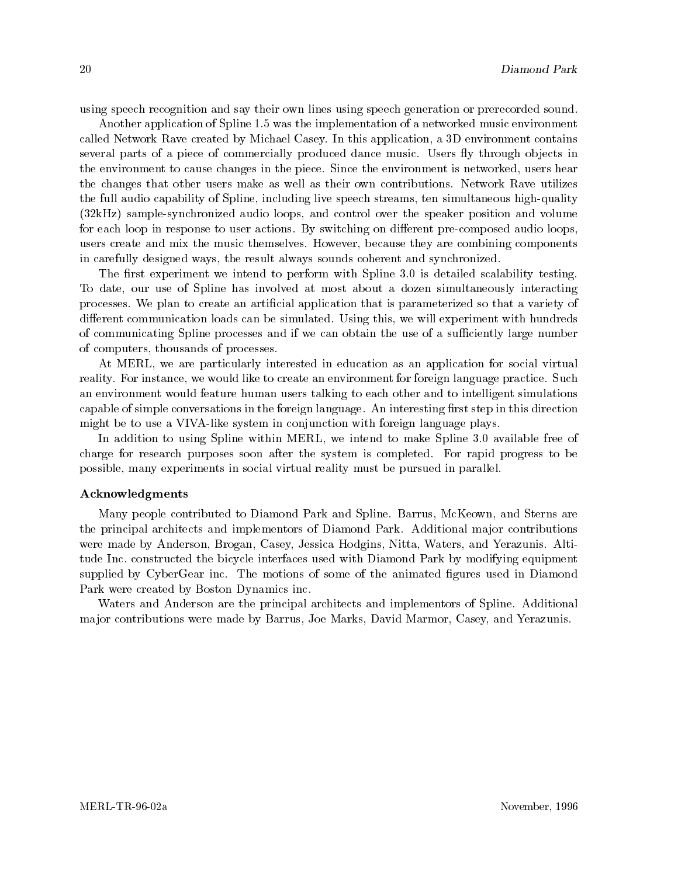using speech recognition and say their own lines using speech generation or prerecorded sound.

Another application of Spline 1.5 was the implementation of a networked music environment called Network Rave created by Michael Casey. In this application, a 3D environment contains several parts of a piece of commercially produced dance music. Users fly through objects in the environment to cause changes in the piece. Since the environment is networked, users hear the changes that other users make as well as their own contributions. Network Rave utilizes the full audio capability of Spline, including live speech streams, ten simultaneous high-quality (32kHz) sample-synchronized audio loops, and control over the speaker position and volume for each loop in response to user actions. By switching on different pre-composed audio loops, users create and mix the music themselves. However, because they are combining components in carefully designed ways, the result always sounds coherent and synchronized.

The first experiment we intend to perform with Spline 3.0 is detailed scalability testing. To date, our use of Spline has involved at most about a dozen simultaneously interacting processes. We plan to create an artificial application that is parameterized so that a variety of different communication loads can be simulated. Using this, we will experiment with hundreds of communicating Spline processes and if we can obtain the use of a sufficiently large number of computers, thousands of processes.

At MERL, we are particularly interested in education asan application for social virtual reality. For instance, we would like to create an environment for foreign language practice. Such an environment would feature human users talking to each other and to intelligent simulations capable of simple conversations in the foreign language. An interesting first step in this direction might be to use a VIVA-like system in conjunction with foreign language plays.

In addition to using Spline within MERL, we intend to make Spline 3.0 available free of charge for research purposes soon after the system is completed. For rapid progress to be possible, many experiments in social virtual reality must be pursued in parallel.

#### Acknowledgments

Many people contributed to Diamond Park and Spline. Barrus, McKeown, and Sterns are the principal architects and implementors of Diamond Park. Additional major contributions were made by Anderson, Brogan, Casey, Jessica Hodgins, Nitta, Waters, and Yerazunis. Altitude Inc. constructed the bicycle interfaces used with Diamond Park by modifying equipment supplied by CyberGear inc. The motions of some of the animated figures used in Diamond Park were created by Boston Dynamics inc.

Waters and Anderson are the principal architects and implementors of Spline. Additional ma jor contributions were made by Barrus, Joe Marks, David Marmor, Casey, and Yerazunis.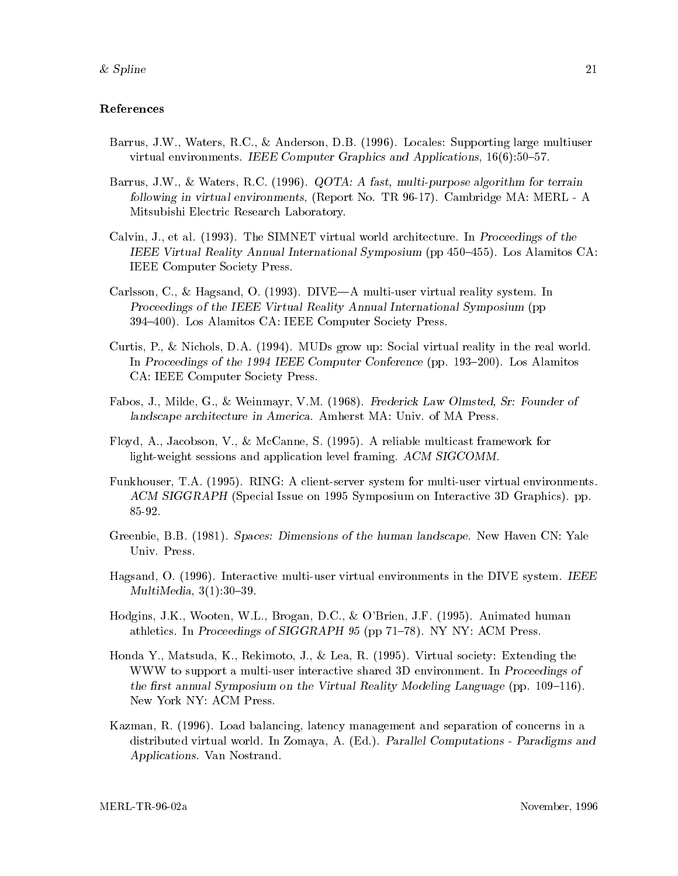## References

- Barrus, J.W., Waters, R.C., & Anderson, D.B. (1996). Locales: Supporting large multiuser virtual environments. IEEE Computer Graphics and Applications,  $16(6):50-57$ .
- Barrus, J.W., & Waters, R.C. (1996). QOTA: A fast, multi-purpose algorithm for terrain following in virtual environments, (Report No. TR 96-17). Cambridge MA: MERL - A Mitsubishi Electric Research Laboratory.
- Calvin, J., et al. (1993). The SIMNET virtual world architecture. In Proceedings of the IEEE Virtual Reality Annual International Symposium (pp  $450-455$ ). Los Alamitos CA: IEEE Computer Society Press.
- Carlsson, C., & Hagsand, O. (1993). DIVE—A multi-user virtual reality system. In Proceedings of the IEEE Virtual Reality Annual International Symposium (pp 394-400). Los Alamitos CA: IEEE Computer Society Press.
- Curtis, P., & Nichols, D.A. (1994). MUDs grow up: Social virtual reality in the real world. In Proceedings of the 1994 IEEE Computer Conference (pp. 193–200). Los Alamitos CA: IEEE Computer Society Press.
- Fabos, J., Milde, G., & Weinmayr, V.M. (1968). Frederick Law Olmsted, Sr: Founder of landscape architecture in America. Amherst MA: Univ. of MA Press.
- Floyd, A., Jacobson, V., & McCanne, S. (1995). A reliable multicast framework for light-weight sessions and application level framing. ACM SIGCOMM.
- Funkhouser, T.A. (1995). RING: A client-server system for multi-user virtual environments. ACM SIGGRAPH (Special Issue on 1995 Symposium on Interactive 3D Graphics). pp. 85-92.
- Greenbie, B.B. (1981). Spaces: Dimensions of the human landscape. New Haven CN: Yale Univ. Press.
- Hagsand, O. (1996). Interactive multi-user virtual environments in the DIVE system. IEEE MultiMedia,  $3(1):30-39$ .
- Hodgins, J.K., Wooten, W.L., Brogan, D.C., & O'Brien, J.F. (1995). Animated human athletics. In Proceedings of SIGGRAPH 95 (pp  $71–78$ ). NY NY: ACM Press.
- Honda Y., Matsuda, K., Rekimoto, J., & Lea, R. (1995). Virtual society: Extending the WWW to support a multi-user interactive shared 3D environment. In Proceedings of the first annual Symposium on the Virtual Reality Modeling Language (pp.  $109-116$ ). New York NY: ACM Press.
- Kazman, R. (1996). Load balancing, latency management and separation of concerns in a distributed virtual world. In Zomaya, A. (Ed.). Parallel Computations - Paradigms and Applications. Van Nostrand.